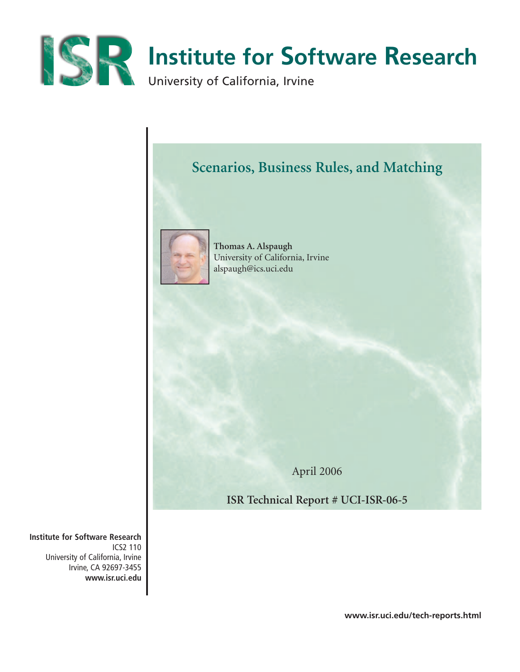



April 2006

**ISR Technical Report # UCI-ISR-06-5**

**Institute for Software Research** ICS2 110 University of California, Irvine Irvine, CA 92697-3455 **www.isr.uci.edu**

**www.isr.uci.edu/tech-reports.html**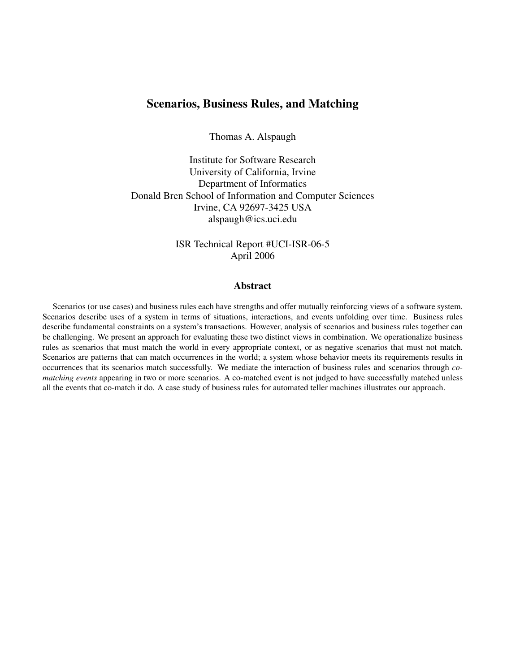# Scenarios, Business Rules, and Matching

Thomas A. Alspaugh

Institute for Software Research University of California, Irvine Department of Informatics Donald Bren School of Information and Computer Sciences Irvine, CA 92697-3425 USA alspaugh@ics.uci.edu

> ISR Technical Report #UCI-ISR-06-5 April 2006

## Abstract

Scenarios (or use cases) and business rules each have strengths and offer mutually reinforcing views of a software system. Scenarios describe uses of a system in terms of situations, interactions, and events unfolding over time. Business rules describe fundamental constraints on a system's transactions. However, analysis of scenarios and business rules together can be challenging. We present an approach for evaluating these two distinct views in combination. We operationalize business rules as scenarios that must match the world in every appropriate context, or as negative scenarios that must not match. Scenarios are patterns that can match occurrences in the world; a system whose behavior meets its requirements results in occurrences that its scenarios match successfully. We mediate the interaction of business rules and scenarios through *comatching events* appearing in two or more scenarios. A co-matched event is not judged to have successfully matched unless all the events that co-match it do. A case study of business rules for automated teller machines illustrates our approach.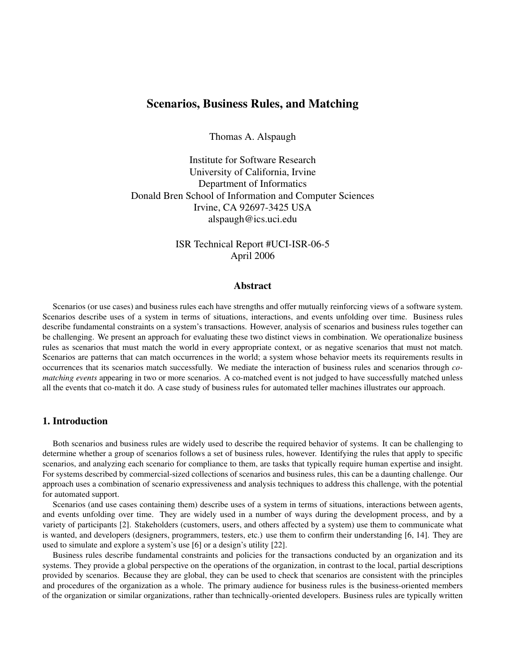## Scenarios, Business Rules, and Matching

Thomas A. Alspaugh

Institute for Software Research University of California, Irvine Department of Informatics Donald Bren School of Information and Computer Sciences Irvine, CA 92697-3425 USA alspaugh@ics.uci.edu

> ISR Technical Report #UCI-ISR-06-5 April 2006

## Abstract

Scenarios (or use cases) and business rules each have strengths and offer mutually reinforcing views of a software system. Scenarios describe uses of a system in terms of situations, interactions, and events unfolding over time. Business rules describe fundamental constraints on a system's transactions. However, analysis of scenarios and business rules together can be challenging. We present an approach for evaluating these two distinct views in combination. We operationalize business rules as scenarios that must match the world in every appropriate context, or as negative scenarios that must not match. Scenarios are patterns that can match occurrences in the world; a system whose behavior meets its requirements results in occurrences that its scenarios match successfully. We mediate the interaction of business rules and scenarios through *comatching events* appearing in two or more scenarios. A co-matched event is not judged to have successfully matched unless all the events that co-match it do. A case study of business rules for automated teller machines illustrates our approach.

## 1. Introduction

Both scenarios and business rules are widely used to describe the required behavior of systems. It can be challenging to determine whether a group of scenarios follows a set of business rules, however. Identifying the rules that apply to specific scenarios, and analyzing each scenario for compliance to them, are tasks that typically require human expertise and insight. For systems described by commercial-sized collections of scenarios and business rules, this can be a daunting challenge. Our approach uses a combination of scenario expressiveness and analysis techniques to address this challenge, with the potential for automated support.

Scenarios (and use cases containing them) describe uses of a system in terms of situations, interactions between agents, and events unfolding over time. They are widely used in a number of ways during the development process, and by a variety of participants [2]. Stakeholders (customers, users, and others affected by a system) use them to communicate what is wanted, and developers (designers, programmers, testers, etc.) use them to confirm their understanding [6, 14]. They are used to simulate and explore a system's use [6] or a design's utility [22].

Business rules describe fundamental constraints and policies for the transactions conducted by an organization and its systems. They provide a global perspective on the operations of the organization, in contrast to the local, partial descriptions provided by scenarios. Because they are global, they can be used to check that scenarios are consistent with the principles and procedures of the organization as a whole. The primary audience for business rules is the business-oriented members of the organization or similar organizations, rather than technically-oriented developers. Business rules are typically written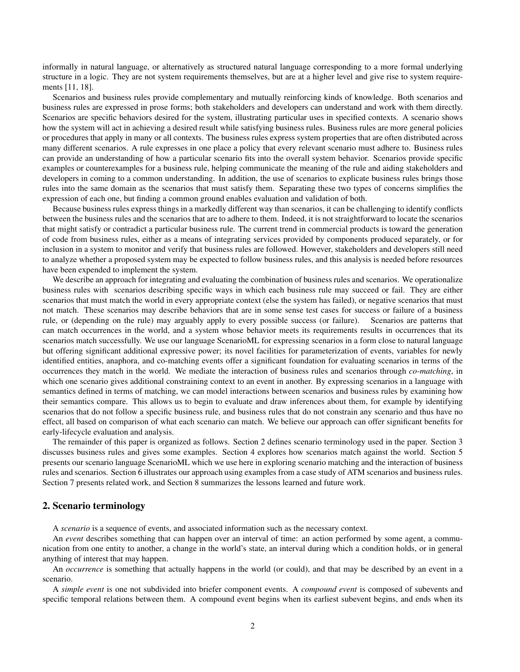informally in natural language, or alternatively as structured natural language corresponding to a more formal underlying structure in a logic. They are not system requirements themselves, but are at a higher level and give rise to system requirements [11, 18].

Scenarios and business rules provide complementary and mutually reinforcing kinds of knowledge. Both scenarios and business rules are expressed in prose forms; both stakeholders and developers can understand and work with them directly. Scenarios are specific behaviors desired for the system, illustrating particular uses in specified contexts. A scenario shows how the system will act in achieving a desired result while satisfying business rules. Business rules are more general policies or procedures that apply in many or all contexts. The business rules express system properties that are often distributed across many different scenarios. A rule expresses in one place a policy that every relevant scenario must adhere to. Business rules can provide an understanding of how a particular scenario fits into the overall system behavior. Scenarios provide specific examples or counterexamples for a business rule, helping communicate the meaning of the rule and aiding stakeholders and developers in coming to a common understanding. In addition, the use of scenarios to explicate business rules brings those rules into the same domain as the scenarios that must satisfy them. Separating these two types of concerns simplifies the expression of each one, but finding a common ground enables evaluation and validation of both.

Because business rules express things in a markedly different way than scenarios, it can be challenging to identify conflicts between the business rules and the scenarios that are to adhere to them. Indeed, it is not straightforward to locate the scenarios that might satisfy or contradict a particular business rule. The current trend in commercial products is toward the generation of code from business rules, either as a means of integrating services provided by components produced separately, or for inclusion in a system to monitor and verify that business rules are followed. However, stakeholders and developers still need to analyze whether a proposed system may be expected to follow business rules, and this analysis is needed before resources have been expended to implement the system.

We describe an approach for integrating and evaluating the combination of business rules and scenarios. We operationalize business rules with scenarios describing specific ways in which each business rule may succeed or fail. They are either scenarios that must match the world in every appropriate context (else the system has failed), or negative scenarios that must not match. These scenarios may describe behaviors that are in some sense test cases for success or failure of a business rule, or (depending on the rule) may arguably apply to every possible success (or failure). Scenarios are patterns that can match occurrences in the world, and a system whose behavior meets its requirements results in occurrences that its scenarios match successfully. We use our language ScenarioML for expressing scenarios in a form close to natural language but offering significant additional expressive power; its novel facilities for parameterization of events, variables for newly identified entities, anaphora, and co-matching events offer a significant foundation for evaluating scenarios in terms of the occurrences they match in the world. We mediate the interaction of business rules and scenarios through *co-matching*, in which one scenario gives additional constraining context to an event in another. By expressing scenarios in a language with semantics defined in terms of matching, we can model interactions between scenarios and business rules by examining how their semantics compare. This allows us to begin to evaluate and draw inferences about them, for example by identifying scenarios that do not follow a specific business rule, and business rules that do not constrain any scenario and thus have no effect, all based on comparison of what each scenario can match. We believe our approach can offer significant benefits for early-lifecycle evaluation and analysis.

The remainder of this paper is organized as follows. Section 2 defines scenario terminology used in the paper. Section 3 discusses business rules and gives some examples. Section 4 explores how scenarios match against the world. Section 5 presents our scenario language ScenarioML which we use here in exploring scenario matching and the interaction of business rules and scenarios. Section 6 illustrates our approach using examples from a case study of ATM scenarios and business rules. Section 7 presents related work, and Section 8 summarizes the lessons learned and future work.

## 2. Scenario terminology

A *scenario* is a sequence of events, and associated information such as the necessary context.

An *event* describes something that can happen over an interval of time: an action performed by some agent, a communication from one entity to another, a change in the world's state, an interval during which a condition holds, or in general anything of interest that may happen.

An *occurrence* is something that actually happens in the world (or could), and that may be described by an event in a scenario.

A *simple event* is one not subdivided into briefer component events. A *compound event* is composed of subevents and specific temporal relations between them. A compound event begins when its earliest subevent begins, and ends when its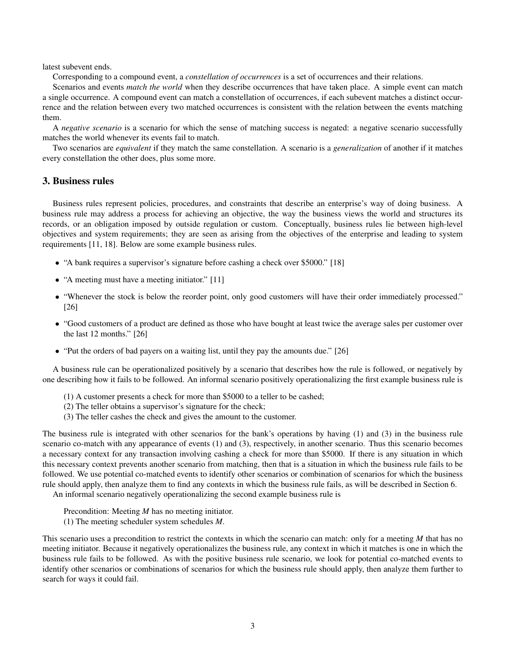latest subevent ends.

Corresponding to a compound event, a *constellation of occurrences* is a set of occurrences and their relations.

Scenarios and events *match the world* when they describe occurrences that have taken place. A simple event can match a single occurrence. A compound event can match a constellation of occurrences, if each subevent matches a distinct occurrence and the relation between every two matched occurrences is consistent with the relation between the events matching them.

A *negative scenario* is a scenario for which the sense of matching success is negated: a negative scenario successfully matches the world whenever its events fail to match.

Two scenarios are *equivalent* if they match the same constellation. A scenario is a *generalization* of another if it matches every constellation the other does, plus some more.

## 3. Business rules

Business rules represent policies, procedures, and constraints that describe an enterprise's way of doing business. A business rule may address a process for achieving an objective, the way the business views the world and structures its records, or an obligation imposed by outside regulation or custom. Conceptually, business rules lie between high-level objectives and system requirements; they are seen as arising from the objectives of the enterprise and leading to system requirements [11, 18]. Below are some example business rules.

- "A bank requires a supervisor's signature before cashing a check over \$5000." [18]
- "A meeting must have a meeting initiator." [11]
- "Whenever the stock is below the reorder point, only good customers will have their order immediately processed." [26]
- "Good customers of a product are defined as those who have bought at least twice the average sales per customer over the last 12 months." [26]
- "Put the orders of bad payers on a waiting list, until they pay the amounts due." [26]

A business rule can be operationalized positively by a scenario that describes how the rule is followed, or negatively by one describing how it fails to be followed. An informal scenario positively operationalizing the first example business rule is

- (1) A customer presents a check for more than \$5000 to a teller to be cashed;
- (2) The teller obtains a supervisor's signature for the check;
- (3) The teller cashes the check and gives the amount to the customer.

The business rule is integrated with other scenarios for the bank's operations by having (1) and (3) in the business rule scenario co-match with any appearance of events (1) and (3), respectively, in another scenario. Thus this scenario becomes a necessary context for any transaction involving cashing a check for more than \$5000. If there is any situation in which this necessary context prevents another scenario from matching, then that is a situation in which the business rule fails to be followed. We use potential co-matched events to identify other scenarios or combination of scenarios for which the business rule should apply, then analyze them to find any contexts in which the business rule fails, as will be described in Section 6.

An informal scenario negatively operationalizing the second example business rule is

- Precondition: Meeting *M* has no meeting initiator.
- (1) The meeting scheduler system schedules *M*.

This scenario uses a precondition to restrict the contexts in which the scenario can match: only for a meeting *M* that has no meeting initiator. Because it negatively operationalizes the business rule, any context in which it matches is one in which the business rule fails to be followed. As with the positive business rule scenario, we look for potential co-matched events to identify other scenarios or combinations of scenarios for which the business rule should apply, then analyze them further to search for ways it could fail.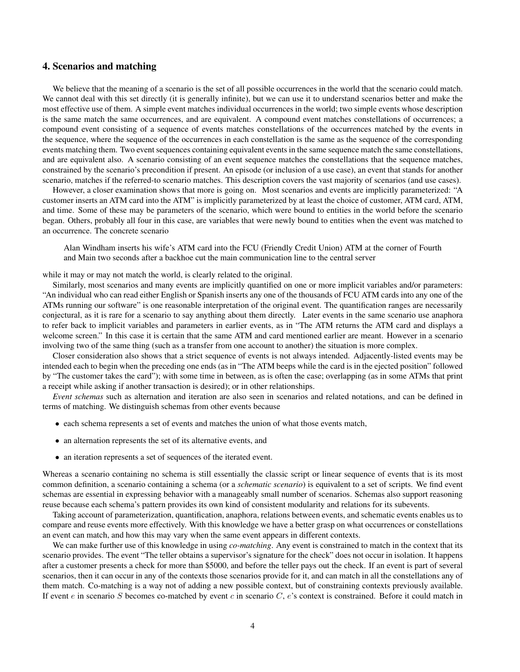## 4. Scenarios and matching

We believe that the meaning of a scenario is the set of all possible occurrences in the world that the scenario could match. We cannot deal with this set directly (it is generally infinite), but we can use it to understand scenarios better and make the most effective use of them. A simple event matches individual occurrences in the world; two simple events whose description is the same match the same occurrences, and are equivalent. A compound event matches constellations of occurrences; a compound event consisting of a sequence of events matches constellations of the occurrences matched by the events in the sequence, where the sequence of the occurrences in each constellation is the same as the sequence of the corresponding events matching them. Two event sequences containing equivalent events in the same sequence match the same constellations, and are equivalent also. A scenario consisting of an event sequence matches the constellations that the sequence matches, constrained by the scenario's precondition if present. An episode (or inclusion of a use case), an event that stands for another scenario, matches if the referred-to scenario matches. This description covers the vast majority of scenarios (and use cases).

However, a closer examination shows that more is going on. Most scenarios and events are implicitly parameterized: "A customer inserts an ATM card into the ATM" is implicitly parameterized by at least the choice of customer, ATM card, ATM, and time. Some of these may be parameters of the scenario, which were bound to entities in the world before the scenario began. Others, probably all four in this case, are variables that were newly bound to entities when the event was matched to an occurrence. The concrete scenario

Alan Windham inserts his wife's ATM card into the FCU (Friendly Credit Union) ATM at the corner of Fourth and Main two seconds after a backhoe cut the main communication line to the central server

while it may or may not match the world, is clearly related to the original.

Similarly, most scenarios and many events are implicitly quantified on one or more implicit variables and/or parameters: "An individual who can read either English or Spanish inserts any one of the thousands of FCU ATM cards into any one of the ATMs running our software" is one reasonable interpretation of the original event. The quantification ranges are necessarily conjectural, as it is rare for a scenario to say anything about them directly. Later events in the same scenario use anaphora to refer back to implicit variables and parameters in earlier events, as in "The ATM returns the ATM card and displays a welcome screen." In this case it is certain that the same ATM and card mentioned earlier are meant. However in a scenario involving two of the same thing (such as a transfer from one account to another) the situation is more complex.

Closer consideration also shows that a strict sequence of events is not always intended. Adjacently-listed events may be intended each to begin when the preceding one ends (as in "The ATM beeps while the card is in the ejected position" followed by "The customer takes the card"); with some time in between, as is often the case; overlapping (as in some ATMs that print a receipt while asking if another transaction is desired); or in other relationships.

*Event schemas* such as alternation and iteration are also seen in scenarios and related notations, and can be defined in terms of matching. We distinguish schemas from other events because

- each schema represents a set of events and matches the union of what those events match,
- an alternation represents the set of its alternative events, and
- an iteration represents a set of sequences of the iterated event.

Whereas a scenario containing no schema is still essentially the classic script or linear sequence of events that is its most common definition, a scenario containing a schema (or a *schematic scenario*) is equivalent to a set of scripts. We find event schemas are essential in expressing behavior with a manageably small number of scenarios. Schemas also support reasoning reuse because each schema's pattern provides its own kind of consistent modularity and relations for its subevents.

Taking account of parameterization, quantification, anaphora, relations between events, and schematic events enables us to compare and reuse events more effectively. With this knowledge we have a better grasp on what occurrences or constellations an event can match, and how this may vary when the same event appears in different contexts.

We can make further use of this knowledge in using *co-matching*. Any event is constrained to match in the context that its scenario provides. The event "The teller obtains a supervisor's signature for the check" does not occur in isolation. It happens after a customer presents a check for more than \$5000, and before the teller pays out the check. If an event is part of several scenarios, then it can occur in any of the contexts those scenarios provide for it, and can match in all the constellations any of them match. Co-matching is a way not of adding a new possible context, but of constraining contexts previously available. If event  $e$  in scenario S becomes co-matched by event  $c$  in scenario  $C$ ,  $e$ 's context is constrained. Before it could match in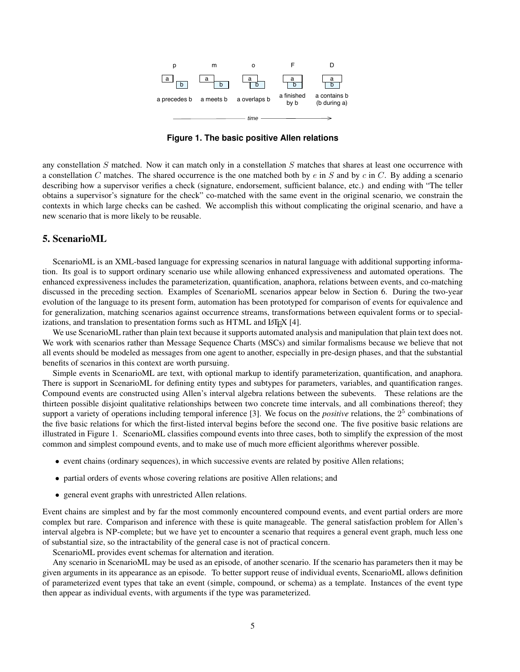

**Figure 1. The basic positive Allen relations**

any constellation S matched. Now it can match only in a constellation S matches that shares at least one occurrence with a constellation C matches. The shared occurrence is the one matched both by  $e$  in S and by  $c$  in C. By adding a scenario describing how a supervisor verifies a check (signature, endorsement, sufficient balance, etc.) and ending with "The teller obtains a supervisor's signature for the check" co-matched with the same event in the original scenario, we constrain the contexts in which large checks can be cashed. We accomplish this without complicating the original scenario, and have a new scenario that is more likely to be reusable.

## 5. ScenarioML

ScenarioML is an XML-based language for expressing scenarios in natural language with additional supporting information. Its goal is to support ordinary scenario use while allowing enhanced expressiveness and automated operations. The enhanced expressiveness includes the parameterization, quantification, anaphora, relations between events, and co-matching discussed in the preceding section. Examples of ScenarioML scenarios appear below in Section 6. During the two-year evolution of the language to its present form, automation has been prototyped for comparison of events for equivalence and for generalization, matching scenarios against occurrence streams, transformations between equivalent forms or to specializations, and translation to presentation forms such as  $HTML$  and  $\Delta E$  $EX$  [4].

We use ScenarioML rather than plain text because it supports automated analysis and manipulation that plain text does not. We work with scenarios rather than Message Sequence Charts (MSCs) and similar formalisms because we believe that not all events should be modeled as messages from one agent to another, especially in pre-design phases, and that the substantial benefits of scenarios in this context are worth pursuing.

Simple events in ScenarioML are text, with optional markup to identify parameterization, quantification, and anaphora. There is support in ScenarioML for defining entity types and subtypes for parameters, variables, and quantification ranges. Compound events are constructed using Allen's interval algebra relations between the subevents. These relations are the thirteen possible disjoint qualitative relationships between two concrete time intervals, and all combinations thereof; they support a variety of operations including temporal inference [3]. We focus on the *positive* relations, the 2<sup>5</sup> combinations of the five basic relations for which the first-listed interval begins before the second one. The five positive basic relations are illustrated in Figure 1. ScenarioML classifies compound events into three cases, both to simplify the expression of the most common and simplest compound events, and to make use of much more efficient algorithms wherever possible.

- event chains (ordinary sequences), in which successive events are related by positive Allen relations;
- partial orders of events whose covering relations are positive Allen relations; and
- general event graphs with unrestricted Allen relations.

Event chains are simplest and by far the most commonly encountered compound events, and event partial orders are more complex but rare. Comparison and inference with these is quite manageable. The general satisfaction problem for Allen's interval algebra is NP-complete; but we have yet to encounter a scenario that requires a general event graph, much less one of substantial size, so the intractability of the general case is not of practical concern.

ScenarioML provides event schemas for alternation and iteration.

Any scenario in ScenarioML may be used as an episode, of another scenario. If the scenario has parameters then it may be given arguments in its appearance as an episode. To better support reuse of individual events, ScenarioML allows definition of parameterized event types that take an event (simple, compound, or schema) as a template. Instances of the event type then appear as individual events, with arguments if the type was parameterized.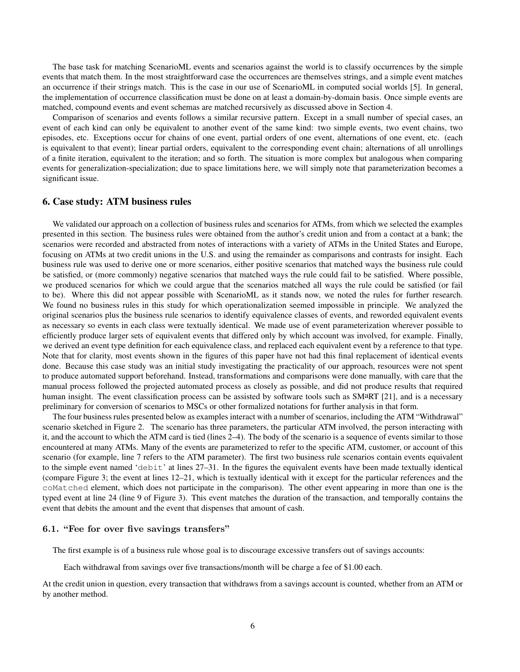The base task for matching ScenarioML events and scenarios against the world is to classify occurrences by the simple events that match them. In the most straightforward case the occurrences are themselves strings, and a simple event matches an occurrence if their strings match. This is the case in our use of ScenarioML in computed social worlds [5]. In general, the implementation of occurrence classification must be done on at least a domain-by-domain basis. Once simple events are matched, compound events and event schemas are matched recursively as discussed above in Section 4.

Comparison of scenarios and events follows a similar recursive pattern. Except in a small number of special cases, an event of each kind can only be equivalent to another event of the same kind: two simple events, two event chains, two episodes, etc. Exceptions occur for chains of one event, partial orders of one event, alternations of one event, etc. (each is equivalent to that event); linear partial orders, equivalent to the corresponding event chain; alternations of all unrollings of a finite iteration, equivalent to the iteration; and so forth. The situation is more complex but analogous when comparing events for generalization-specialization; due to space limitations here, we will simply note that parameterization becomes a significant issue.

## 6. Case study: ATM business rules

We validated our approach on a collection of business rules and scenarios for ATMs, from which we selected the examples presented in this section. The business rules were obtained from the author's credit union and from a contact at a bank; the scenarios were recorded and abstracted from notes of interactions with a variety of ATMs in the United States and Europe, focusing on ATMs at two credit unions in the U.S. and using the remainder as comparisons and contrasts for insight. Each business rule was used to derive one or more scenarios, either positive scenarios that matched ways the business rule could be satisfied, or (more commonly) negative scenarios that matched ways the rule could fail to be satisfied. Where possible, we produced scenarios for which we could argue that the scenarios matched all ways the rule could be satisfied (or fail to be). Where this did not appear possible with ScenarioML as it stands now, we noted the rules for further research. We found no business rules in this study for which operationalization seemed impossible in principle. We analyzed the original scenarios plus the business rule scenarios to identify equivalence classes of events, and reworded equivalent events as necessary so events in each class were textually identical. We made use of event parameterization wherever possible to efficiently produce larger sets of equivalent events that differed only by which account was involved, for example. Finally, we derived an event type definition for each equivalence class, and replaced each equivalent event by a reference to that type. Note that for clarity, most events shown in the figures of this paper have not had this final replacement of identical events done. Because this case study was an initial study investigating the practicality of our approach, resources were not spent to produce automated support beforehand. Instead, transformations and comparisons were done manually, with care that the manual process followed the projected automated process as closely as possible, and did not produce results that required human insight. The event classification process can be assisted by software tools such as SMaRT [21], and is a necessary preliminary for conversion of scenarios to MSCs or other formalized notations for further analysis in that form.

The four business rules presented below as examples interact with a number of scenarios, including the ATM "Withdrawal" scenario sketched in Figure 2. The scenario has three parameters, the particular ATM involved, the person interacting with it, and the account to which the ATM card is tied (lines 2–4). The body of the scenario is a sequence of events similar to those encountered at many ATMs. Many of the events are parameterized to refer to the specific ATM, customer, or account of this scenario (for example, line 7 refers to the ATM parameter). The first two business rule scenarios contain events equivalent to the simple event named 'debit' at lines 27–31. In the figures the equivalent events have been made textually identical (compare Figure 3; the event at lines 12–21, which is textually identical with it except for the particular references and the coMatched element, which does not participate in the comparison). The other event appearing in more than one is the typed event at line 24 (line 9 of Figure 3). This event matches the duration of the transaction, and temporally contains the event that debits the amount and the event that dispenses that amount of cash.

#### 6.1. "Fee for over five savings transfers"

The first example is of a business rule whose goal is to discourage excessive transfers out of savings accounts:

Each withdrawal from savings over five transactions/month will be charge a fee of \$1.00 each.

At the credit union in question, every transaction that withdraws from a savings account is counted, whether from an ATM or by another method.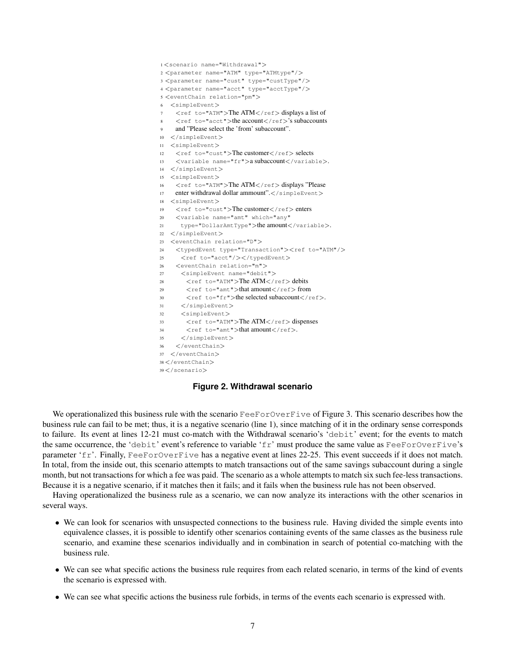```
1 <scenario name="Withdrawal">
2 <parameter name="ATM" type="ATMtype"/>
3 <parameter name="cust" type="custType"/>
4 <parameter name="acct" type="acctType"/>
5 <eventChain relation="pm">
6 <simpleEvent>
   <code><ref to="ATM">The ATM</ref></code> displays a list of
    \langleref to="acct">the account\langle/ref>'s subaccounts
   9 and "Please select the 'from' subaccount".
10 </simpleEvent>
11 <simpleEvent>
12 \langle ref to="cust">The customer\langle/ref> selects
13 <variable name="fr">a subaccount</variable>.
14 </simpleEvent>
15 <simpleEvent>
16 <ref to="ATM">The ATM</ref>displays "Please
17 enter withdrawal dollar ammount".</simpleEvent>
18 <simpleEvent>
19 \langle ref to="cust">The customer\langle/ref>enters
20 <variable name="amt" which="any"
21 type="DollarAmtType">the amount</variable>.
22 </simpleEvent>
23 <eventChain relation="D">
24 <typedEvent type="Transaction"><ref to="ATM"/>
25 <ref to="acct"/></typedEvent>
26 <eventChain relation="m">
27 <simpleEvent name="debit">
28 <ref to="ATM">The ATM</ref> debits
29 \langle ref to="amt">that amount\langle/ref>from
30 < ref to="fr">the selected subaccount</ref>.
31 </simpleEvent>
32 <simpleEvent>
33 <ref to="ATM">The ATM</ref>dispenses
34 \leq ref to="amt">that amount\leq/ref>.
35 </simpleEvent>
36 </eventChain>
37 </eventChain>
38 </eventChain>
39 </scenario>
```
## **Figure 2. Withdrawal scenario**

We operationalized this business rule with the scenario FeeForOverFive of Figure 3. This scenario describes how the business rule can fail to be met; thus, it is a negative scenario (line 1), since matching of it in the ordinary sense corresponds to failure. Its event at lines 12-21 must co-match with the Withdrawal scenario's 'debit' event; for the events to match the same occurrence, the 'debit' event's reference to variable 'fr' must produce the same value as FeeForOverFive's parameter 'fr'. Finally, FeeForOverFive has a negative event at lines 22-25. This event succeeds if it does not match. In total, from the inside out, this scenario attempts to match transactions out of the same savings subaccount during a single month, but not transactions for which a fee was paid. The scenario as a whole attempts to match six such fee-less transactions. Because it is a negative scenario, if it matches then it fails; and it fails when the business rule has not been observed.

Having operationalized the business rule as a scenario, we can now analyze its interactions with the other scenarios in several ways.

- We can look for scenarios with unsuspected connections to the business rule. Having divided the simple events into equivalence classes, it is possible to identify other scenarios containing events of the same classes as the business rule scenario, and examine these scenarios individually and in combination in search of potential co-matching with the business rule.
- We can see what specific actions the business rule requires from each related scenario, in terms of the kind of events the scenario is expressed with.
- We can see what specific actions the business rule forbids, in terms of the events each scenario is expressed with.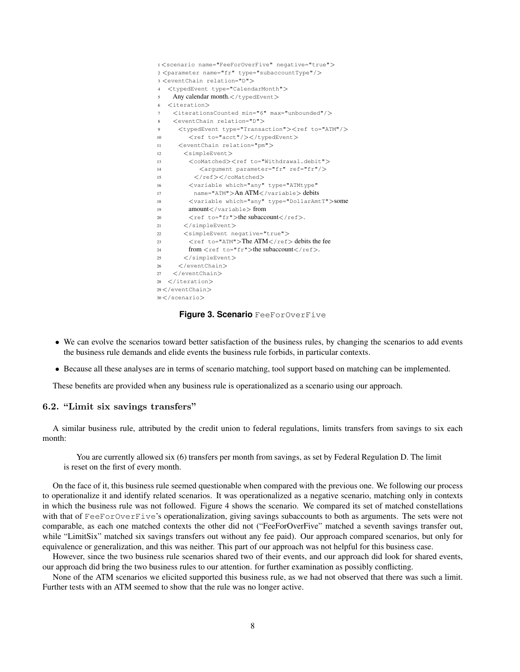```
1 <scenario name="FeeForOverFive" negative="true">
2 <parameter name="fr" type="subaccountType"/>
3 <eventChain relation="D">
4 <typedEvent type="CalendarMonth">
5 Any calendar month.</typedEvent>
6 <iteration>
7 <iterationsCounted min="6" max="unbounded"/>
8 <eventChain relation="D">
9 <typedEvent type="Transaction"><ref to="ATM"/>
10 <ref to="acct"/></typedEvent>
11 <eventChain relation="pm">
12 <simpleEvent>
13 <coMatched><ref to="Withdrawal.debit">
14 <argument parameter="fr" ref="fr"/>
15 </ref></coMatched>
16 <variable which="any" type="ATMtype"
17 name="ATM">An ATM</variable> debits
18 <variable which="any" type="DollarAmtT">some
19 amount</variable> from
20 <ref to="fr">the subaccount</ref>.
21 </simpleEvent>
22 < simpleEvent negative="true">
23 <ref to="ATM">The ATM</ref> debits the fee
24 from \langle ref to="fr">the subaccount\langle/ref>.
25 </simpleEvent>
26 </eventChain>
27 </eventChain>
28 </iteration>
29 </eventChain>
30 </scenario>
```
**Figure 3. Scenario** FeeForOverFive

- We can evolve the scenarios toward better satisfaction of the business rules, by changing the scenarios to add events the business rule demands and elide events the business rule forbids, in particular contexts.
- Because all these analyses are in terms of scenario matching, tool support based on matching can be implemented.

These benefits are provided when any business rule is operationalized as a scenario using our approach.

## 6.2. "Limit six savings transfers"

A similar business rule, attributed by the credit union to federal regulations, limits transfers from savings to six each month:

You are currently allowed six (6) transfers per month from savings, as set by Federal Regulation D. The limit is reset on the first of every month.

On the face of it, this business rule seemed questionable when compared with the previous one. We following our process to operationalize it and identify related scenarios. It was operationalized as a negative scenario, matching only in contexts in which the business rule was not followed. Figure 4 shows the scenario. We compared its set of matched constellations with that of FeeForOverFive's operationalization, giving savings subaccounts to both as arguments. The sets were not comparable, as each one matched contexts the other did not ("FeeForOverFive" matched a seventh savings transfer out, while "LimitSix" matched six savings transfers out without any fee paid). Our approach compared scenarios, but only for equivalence or generalization, and this was neither. This part of our approach was not helpful for this business case.

However, since the two business rule scenarios shared two of their events, and our approach did look for shared events, our approach did bring the two business rules to our attention. for further examination as possibly conflicting.

None of the ATM scenarios we elicited supported this business rule, as we had not observed that there was such a limit. Further tests with an ATM seemed to show that the rule was no longer active.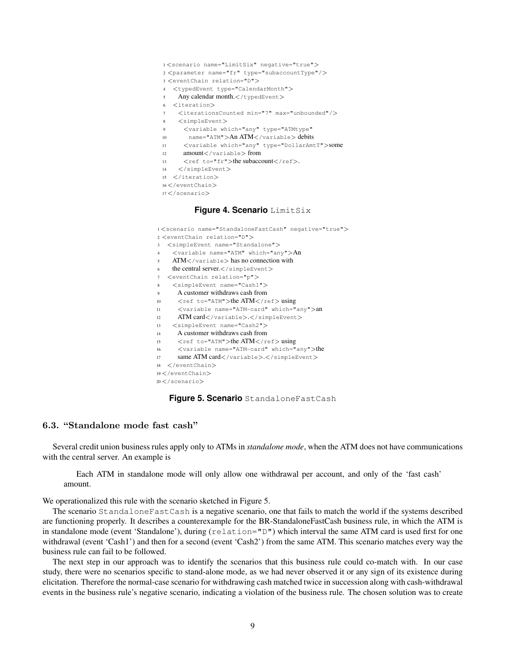- <sup>1</sup> <scenario name="LimitSix" negative="true">
- <sup>2</sup> <parameter name="fr" type="subaccountType"/>
- <sup>3</sup> <eventChain relation="D">
- <sup>4</sup> <typedEvent type="CalendarMonth">
- $5$  Any calendar month. $\lt$ /typedEvent>
- <sup>6</sup> <iteration>
- <sup>7</sup> <iterationsCounted min="7" max="unbounded"/>
- <sup>8</sup> <simpleEvent>
- <sup>9</sup> <variable which="any" type="ATMtype"
- 10 name="ATM">An ATM</variable> debits
- <sup>11</sup> <variable which="any" type="DollarAmtT">some
- <sup>12</sup> amount</variable> from
- 13 < ref to="fr">the subaccount</ref>.
- <sup>14</sup> </simpleEvent>
- <sup>15</sup> </iteration>
- <sup>16</sup> </eventChain>
- <sup>17</sup> </scenario>

#### **Figure 4. Scenario** LimitSix

- <sup>1</sup> <scenario name="StandaloneFastCash" negative="true">
- <sup>2</sup> <eventChain relation="D">
- <sup>3</sup> <simpleEvent name="Standalone">
- <sup>4</sup> <variable name="ATM" which="any">An
- <sup>5</sup> ATM</variable> has no connection with
- 6 the central server. </simpleEvent>
- <sup>7</sup> <eventChain relation="p">
- <sup>8</sup> <simpleEvent name="Cash1">
- <sup>9</sup> A customer withdraws cash from
- 10 < cef to="ATM">the ATM</ref>using
- <sup>11</sup> <variable name="ATM-card" which="any">an
- 12 ATM card</variable>.</simpleEvent>
- <sup>13</sup> <simpleEvent name="Cash2">
- <sup>14</sup> A customer withdraws cash from
- 15 <ref to="ATM">the ATM</ref>using
- <sup>16</sup> <variable name="ATM-card" which="any">the
- 17 same ATM card</variable>.</simpleEvent>
- <sup>18</sup> </eventChain>
- 19</eventChain>
- <sup>20</sup> </scenario>



#### 6.3. "Standalone mode fast cash"

Several credit union business rules apply only to ATMs in *standalone mode*, when the ATM does not have communications with the central server. An example is

Each ATM in standalone mode will only allow one withdrawal per account, and only of the 'fast cash' amount.

We operationalized this rule with the scenario sketched in Figure 5.

The scenario StandaloneFastCash is a negative scenario, one that fails to match the world if the systems described are functioning properly. It describes a counterexample for the BR-StandaloneFastCash business rule, in which the ATM is in standalone mode (event 'Standalone'), during (relation="D") which interval the same ATM card is used first for one withdrawal (event 'Cash1') and then for a second (event 'Cash2') from the same ATM. This scenario matches every way the business rule can fail to be followed.

The next step in our approach was to identify the scenarios that this business rule could co-match with. In our case study, there were no scenarios specific to stand-alone mode, as we had never observed it or any sign of its existence during elicitation. Therefore the normal-case scenario for withdrawing cash matched twice in succession along with cash-withdrawal events in the business rule's negative scenario, indicating a violation of the business rule. The chosen solution was to create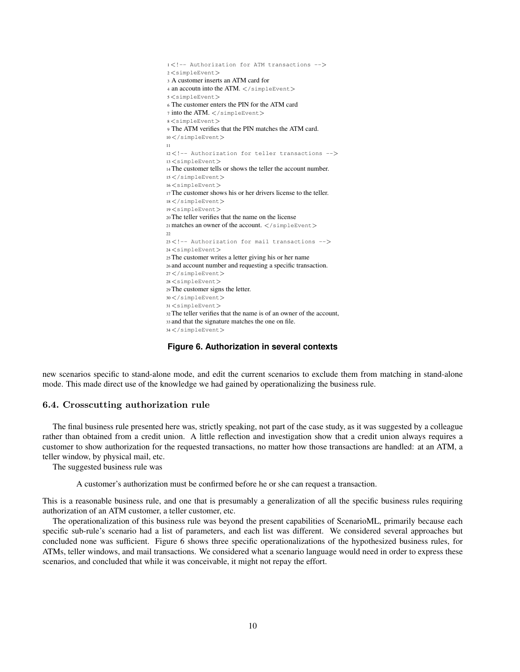<!-- Authorization for ATM transactions --> <simpleEvent> A customer inserts an ATM card for 4 an accoutn into the ATM. </simpleEvent> <simpleEvent> The customer enters the PIN for the ATM card into the ATM.  $\lt$ /simpleEvent> <simpleEvent> The ATM verifies that the PIN matches the ATM card. </simpleEvent> <!-- Authorization for teller transactions --> <simpleEvent> The customer tells or shows the teller the account number.  $15 < /$ simpleEvent $>$  <simpleEvent> The customer shows his or her drivers license to the teller. </simpleEvent> <simpleEvent> The teller verifies that the name on the license 21 matches an owner of the account.  $\langle$ /simpleEvent $\rangle$  <!-- Authorization for mail transactions --> <simpleEvent> The customer writes a letter giving his or her name and account number and requesting a specific transaction. </simpleEvent> <simpleEvent> The customer signs the letter. </simpleEvent> <simpleEvent> The teller verifies that the name is of an owner of the account, and that the signature matches the one on file. </simpleEvent>

#### **Figure 6. Authorization in several contexts**

new scenarios specific to stand-alone mode, and edit the current scenarios to exclude them from matching in stand-alone mode. This made direct use of the knowledge we had gained by operationalizing the business rule.

## 6.4. Crosscutting authorization rule

The final business rule presented here was, strictly speaking, not part of the case study, as it was suggested by a colleague rather than obtained from a credit union. A little reflection and investigation show that a credit union always requires a customer to show authorization for the requested transactions, no matter how those transactions are handled: at an ATM, a teller window, by physical mail, etc.

The suggested business rule was

A customer's authorization must be confirmed before he or she can request a transaction.

This is a reasonable business rule, and one that is presumably a generalization of all the specific business rules requiring authorization of an ATM customer, a teller customer, etc.

The operationalization of this business rule was beyond the present capabilities of ScenarioML, primarily because each specific sub-rule's scenario had a list of parameters, and each list was different. We considered several approaches but concluded none was sufficient. Figure 6 shows three specific operationalizations of the hypothesized business rules, for ATMs, teller windows, and mail transactions. We considered what a scenario language would need in order to express these scenarios, and concluded that while it was conceivable, it might not repay the effort.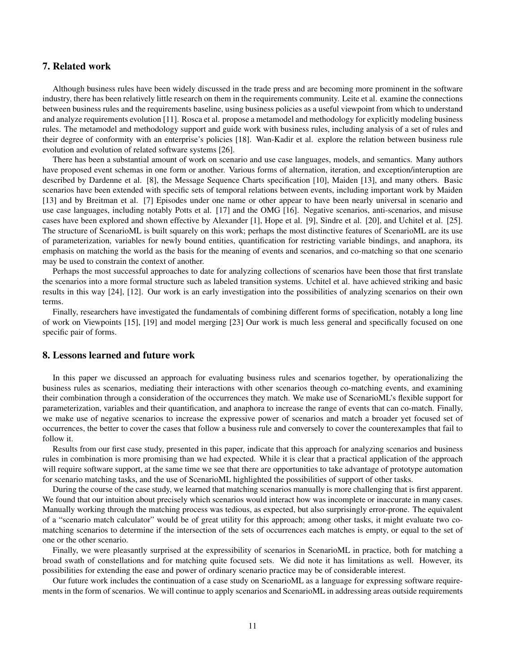## 7. Related work

Although business rules have been widely discussed in the trade press and are becoming more prominent in the software industry, there has been relatively little research on them in the requirements community. Leite et al. examine the connections between business rules and the requirements baseline, using business policies as a useful viewpoint from which to understand and analyze requirements evolution [11]. Rosca et al. propose a metamodel and methodology for explicitly modeling business rules. The metamodel and methodology support and guide work with business rules, including analysis of a set of rules and their degree of conformity with an enterprise's policies [18]. Wan-Kadir et al. explore the relation between business rule evolution and evolution of related software systems [26].

There has been a substantial amount of work on scenario and use case languages, models, and semantics. Many authors have proposed event schemas in one form or another. Various forms of alternation, iteration, and exception/interuption are described by Dardenne et al. [8], the Message Sequence Charts specification [10], Maiden [13], and many others. Basic scenarios have been extended with specific sets of temporal relations between events, including important work by Maiden [13] and by Breitman et al. [7] Episodes under one name or other appear to have been nearly universal in scenario and use case languages, including notably Potts et al. [17] and the OMG [16]. Negative scenarios, anti-scenarios, and misuse cases have been explored and shown effective by Alexander [1], Hope et al. [9], Sindre et al. [20], and Uchitel et al. [25]. The structure of ScenarioML is built squarely on this work; perhaps the most distinctive features of ScenarioML are its use of parameterization, variables for newly bound entities, quantification for restricting variable bindings, and anaphora, its emphasis on matching the world as the basis for the meaning of events and scenarios, and co-matching so that one scenario may be used to constrain the context of another.

Perhaps the most successful approaches to date for analyzing collections of scenarios have been those that first translate the scenarios into a more formal structure such as labeled transition systems. Uchitel et al. have achieved striking and basic results in this way [24], [12]. Our work is an early investigation into the possibilities of analyzing scenarios on their own terms.

Finally, researchers have investigated the fundamentals of combining different forms of specification, notably a long line of work on Viewpoints [15], [19] and model merging [23] Our work is much less general and specifically focused on one specific pair of forms.

## 8. Lessons learned and future work

In this paper we discussed an approach for evaluating business rules and scenarios together, by operationalizing the business rules as scenarios, mediating their interactions with other scenarios theough co-matching events, and examining their combination through a consideration of the occurrences they match. We make use of ScenarioML's flexible support for parameterization, variables and their quantification, and anaphora to increase the range of events that can co-match. Finally, we make use of negative scenarios to increase the expressive power of scenarios and match a broader yet focused set of occurrences, the better to cover the cases that follow a business rule and conversely to cover the counterexamples that fail to follow it.

Results from our first case study, presented in this paper, indicate that this approach for analyzing scenarios and business rules in combination is more promising than we had expected. While it is clear that a practical application of the approach will require software support, at the same time we see that there are opportunities to take advantage of prototype automation for scenario matching tasks, and the use of ScenarioML highlighted the possibilities of support of other tasks.

During the course of the case study, we learned that matching scenarios manually is more challenging that is first apparent. We found that our intuition about precisely which scenarios would interact how was incomplete or inaccurate in many cases. Manually working through the matching process was tedious, as expected, but also surprisingly error-prone. The equivalent of a "scenario match calculator" would be of great utility for this approach; among other tasks, it might evaluate two comatching scenarios to determine if the intersection of the sets of occurrences each matches is empty, or equal to the set of one or the other scenario.

Finally, we were pleasantly surprised at the expressibility of scenarios in ScenarioML in practice, both for matching a broad swath of constellations and for matching quite focused sets. We did note it has limitations as well. However, its possibilities for extending the ease and power of ordinary scenario practice may be of considerable interest.

Our future work includes the continuation of a case study on ScenarioML as a language for expressing software requirements in the form of scenarios. We will continue to apply scenarios and ScenarioML in addressing areas outside requirements